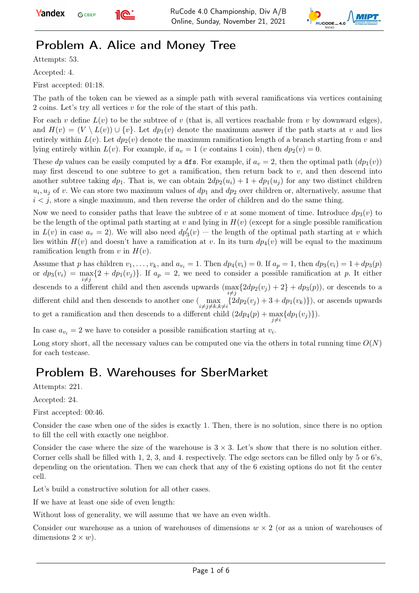



## Problem A. Alice and Money Tree

Attempts: 53.

Accepted: 4.

First accepted: 01:18.

The path of the token can be viewed as a simple path with several ramifications via vertices containing 2 coins. Let's try all vertices v for the role of the start of this path.

For each v define  $L(v)$  to be the subtree of v (that is, all vertices reachable from v by downward edges), and  $H(v) = (V \setminus L(v)) \cup \{v\}$ . Let  $dp_1(v)$  denote the maximum answer if the path starts at v and lies entirely within  $L(v)$ . Let  $dp_2(v)$  denote the maximum ramification length of a branch starting from v and lying entirely within  $L(v)$ . For example, if  $a_v = 1$  (v contains 1 coin), then  $dp_2(v) = 0$ .

These dp values can be easily computed by a dfs. For example, if  $a_v = 2$ , then the optimal path  $(dp_1(v))$ may first descend to one subtree to get a ramification, then return back to  $v$ , and then descend into another subtree taking  $dp_1$ . That is, we can obtain  $2dp_2(u_i) + 1 + dp_1(u_i)$  for any two distinct children  $u_i, u_j$  of v. We can store two maximum values of  $dp_1$  and  $dp_2$  over children or, alternatively, assume that  $i < j$ , store a single maximum, and then reverse the order of children and do the same thing.

Now we need to consider paths that leave the subtree of v at some moment of time. Introduce  $dp_3(v)$  to be the length of the optimal path starting at v and lying in  $H(v)$  (except for a single possible ramification in  $L(v)$  in case  $a_v = 2$ ). We will also need  $dp'_3(v)$  – the length of the optimal path starting at v which lies within  $H(v)$  and doesn't have a ramification at v. In its turn  $dp_4(v)$  will be equal to the maximum ramification length from v in  $H(v)$ .

Assume that p has children  $v_1, \ldots, v_k$ , and  $a_{v_i} = 1$ . Then  $dp_4(v_i) = 0$ . If  $a_p = 1$ , then  $dp_3(v_i) = 1 + dp_3(p)$ or  $dp_3(v_i) = \max_{i \neq j} \{2 + dp_1(v_j)\}\.$  If  $a_p = 2$ , we need to consider a possible ramification at p. It either descends to a different child and then ascends upwards  $(\max\{2dp_2(v_j) + 2\} + dp_3(p))$ , or descends to a  $i \neq j$ different child and then descends to another one  $\left(\max_{i\neq j\neq k,k\neq i}\{2dp_2(v_j)+3+dp_1(v_k)\}\right)$ , or ascends upwards to get a ramification and then descends to a different child  $(2dp_4(p) + \max_{j \neq i} \{dp_1(v_j)\})$ .

In case  $a_{v_i} = 2$  we have to consider a possible ramification starting at  $v_i$ .

Long story short, all the necessary values can be computed one via the others in total running time  $O(N)$ for each testcase.

### Problem B. Warehouses for SberMarket

Attempts: 221.

Accepted: 24.

First accepted: 00:46.

Consider the case when one of the sides is exactly 1. Then, there is no solution, since there is no option to fill the cell with exactly one neighbor.

Consider the case where the size of the warehouse is  $3 \times 3$ . Let's show that there is no solution either. Corner cells shall be filled with 1, 2, 3, and 4. respectively. The edge sectors can be filled only by 5 or 6's, depending on the orientation. Then we can check that any of the 6 existing options do not fit the center cell.

Let's build a constructive solution for all other cases.

If we have at least one side of even length:

Without loss of generality, we will assume that we have an even width.

Consider our warehouse as a union of warehouses of dimensions  $w \times 2$  (or as a union of warehouses of dimensions  $2 \times w$ ).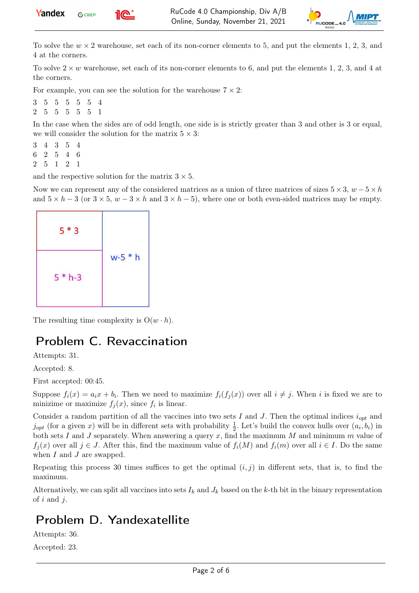



To solve the  $w \times 2$  warehouse, set each of its non-corner elements to 5, and put the elements 1, 2, 3, and 4 at the corners.

To solve  $2 \times w$  warehouse, set each of its non-corner elements to 6, and put the elements 1, 2, 3, and 4 at the corners.

For example, you can see the solution for the warehouse  $7 \times 2$ :

3 5 5 5 5 5 4 2 5 5 5 5 5 1

In the case when the sides are of odd length, one side is is strictly greater than 3 and other is 3 or equal, we will consider the solution for the matrix  $5 \times 3$ :

3 4 3 5 4 6 2 5 4 6 2 5 1 2 1

and the respective solution for the matrix  $3 \times 5$ .

Now we can represent any of the considered matrices as a union of three matrices of sizes  $5 \times 3$ ,  $w - 5 \times h$ and  $5 \times h - 3$  (or  $3 \times 5$ ,  $w - 3 \times h$  and  $3 \times h - 5$ ), where one or both even-sided matrices may be empty.



The resulting time complexity is  $O(w \cdot h)$ .

#### Problem C. Revaccination

Attempts: 31.

Accepted: 8.

First accepted: 00:45.

Suppose  $f_i(x) = a_i x + b_i$ . Then we need to maximize  $f_i(f_j(x))$  over all  $i \neq j$ . When i is fixed we are to minizime or maximize  $f_j(x)$ , since  $f_i$  is linear.

Consider a random partition of all the vaccines into two sets I and J. Then the optimal indices  $i_{opt}$  and  $j_{opt}$  (for a given x) will be in different sets with probability  $\frac{1}{2}$ . Let's build the convex hulls over  $(a_i, b_i)$  in both sets I and J separately. When answering a query x, find the maximum M and minimum m value of  $f_i(x)$  over all  $j \in J$ . After this, find the maximum value of  $f_i(M)$  and  $f_i(m)$  over all  $i \in I$ . Do the same when  $I$  and  $J$  are swapped.

Repeating this process 30 times suffices to get the optimal  $(i, j)$  in different sets, that is, to find the maximum.

Alternatively, we can split all vaccines into sets  $I_k$  and  $J_k$  based on the k-th bit in the binary representation of i and j.

### Problem D. Yandexatellite

Attempts: 36.

Accepted: 23.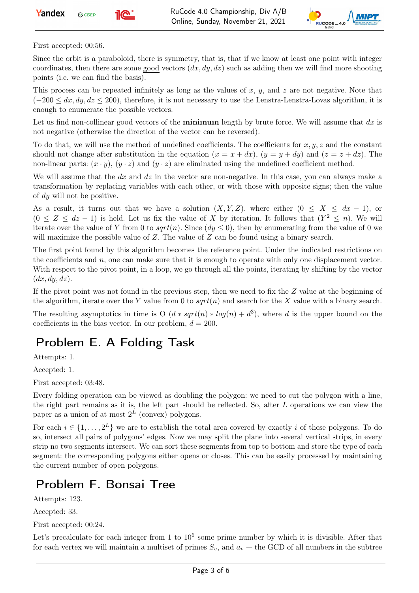



First accepted: 00:56.

Since the orbit is a paraboloid, there is symmetry, that is, that if we know at least one point with integer coordinates, then there are some good vectors  $(dx, dy, dz)$  such as adding then we will find more shooting points (i.e. we can find the basis).

This process can be repeated infinitely as long as the values of x, y, and z are not negative. Note that  $(-200 \leq dx, dy, dz \leq 200)$ , therefore, it is not necessary to use the Lenstra-Lenstra-Lovas algorithm, it is enough to enumerate the possible vectors.

Let us find non-collinear good vectors of the **minimum** length by brute force. We will assume that  $dx$  is not negative (otherwise the direction of the vector can be reversed).

To do that, we will use the method of undefined coefficients. The coefficients for  $x, y, z$  and the constant should not change after substitution in the equation  $(x = x + dx)$ ,  $(y = y + dy)$  and  $(z = z + dz)$ . The non-linear parts:  $(x \cdot y)$ ,  $(y \cdot z)$  and  $(y \cdot z)$  are eliminated using the undefined coefficient method.

We will assume that the  $dx$  and  $dz$  in the vector are non-negative. In this case, you can always make a transformation by replacing variables with each other, or with those with opposite signs; then the value of dy will not be positive.

As a result, it turns out that we have a solution  $(X, Y, Z)$ , where either  $(0 \leq X \leq dx - 1)$ , or  $(0 \leq Z \leq dz - 1)$  is held. Let us fix the value of X by iteration. It follows that  $(Y^2 \leq n)$ . We will iterate over the value of Y from 0 to  $sqrt(n)$ . Since  $(dy \le 0)$ , then by enumerating from the value of 0 we will maximize the possible value of  $Z$ . The value of  $Z$  can be found using a binary search.

The first point found by this algorithm becomes the reference point. Under the indicated restrictions on the coefficients and  $n$ , one can make sure that it is enough to operate with only one displacement vector. With respect to the pivot point, in a loop, we go through all the points, iterating by shifting by the vector  $(dx, dy, dz)$ .

If the pivot point was not found in the previous step, then we need to fix the  $Z$  value at the beginning of the algorithm, iterate over the Y value from 0 to  $sqrt(n)$  and search for the X value with a binary search.

The resulting asymptotics in time is O  $(d * sqrt(n) * log(n) + d^3)$ , where d is the upper bound on the coefficients in the bias vector. In our problem,  $d = 200$ .

## Problem E. A Folding Task

Attempts: 1.

Accepted: 1.

First accepted: 03:48.

Every folding operation can be viewed as doubling the polygon: we need to cut the polygon with a line, the right part remains as it is, the left part should be reflected. So, after L operations we can view the paper as a union of at most  $2^L$  (convex) polygons.

For each  $i \in \{1, \ldots, 2^L\}$  we are to establish the total area covered by exactly i of these polygons. To do so, intersect all pairs of polygons' edges. Now we may split the plane into several vertical strips, in every strip no two segments intersect. We can sort these segments from top to bottom and store the type of each segment: the corresponding polygons either opens or closes. This can be easily processed by maintaining the current number of open polygons.

## Problem F. Bonsai Tree

Attempts: 123.

Accepted: 33.

First accepted: 00:24.

Let's precalculate for each integer from 1 to  $10^6$  some prime number by which it is divisible. After that for each vertex we will maintain a multiset of primes  $S_v$ , and  $a_v$  – the GCD of all numbers in the subtree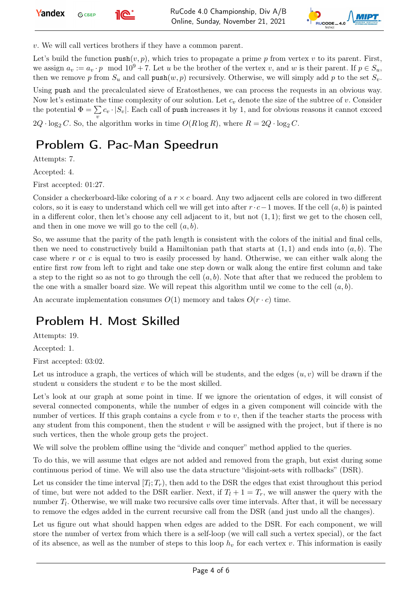

v. We will call vertices brothers if they have a common parent.

Let's build the function  $\text{push}(v, p)$ , which tries to propagate a prime p from vertex v to its parent. First, we assign  $a_v := a_v \cdot p \mod 10^9 + 7$ . Let u be the brother of the vertex v, and w is their parent. If  $p \in S_u$ , then we remove p from  $S_u$  and call push $(w, p)$  recursively. Otherwise, we will simply add p to the set  $S_v$ .

Using push and the precalculated sieve of Eratosthenes, we can process the requests in an obvious way. Now let's estimate the time complexity of our solution. Let  $c_v$  denote the size of the subtree of v. Consider the potential  $\Phi = \sum$  $\sum_{v} c_v \cdot |S_v|$ . Each call of push increases it by 1, and for obvious reasons it cannot exceed  $2Q \cdot \log_2 C$ . So, the algorithm works in time  $O(R \log R)$ , where  $R = 2Q \cdot \log_2 C$ .

### Problem G. Pac-Man Speedrun

Attempts: 7.

Accepted: 4.

First accepted: 01:27.

Consider a checkerboard-like coloring of a  $r \times c$  board. Any two adjacent cells are colored in two different colors, so it is easy to understand which cell we will get into after  $r \cdot c-1$  moves. If the cell  $(a, b)$  is painted in a different color, then let's choose any cell adjacent to it, but not  $(1, 1)$ ; first we get to the chosen cell, and then in one move we will go to the cell  $(a, b)$ .

So, we assume that the parity of the path length is consistent with the colors of the initial and final cells, then we need to constructively build a Hamiltonian path that starts at  $(1,1)$  and ends into  $(a, b)$ . The case where r or c is equal to two is easily processed by hand. Otherwise, we can either walk along the entire first row from left to right and take one step down or walk along the entire first column and take a step to the right so as not to go through the cell  $(a, b)$ . Note that after that we reduced the problem to the one with a smaller board size. We will repeat this algorithm until we come to the cell  $(a, b)$ .

An accurate implementation consumes  $O(1)$  memory and takes  $O(r \cdot c)$  time.

### Problem H. Most Skilled

Attempts: 19.

Accepted: 1.

First accepted: 03:02.

Let us introduce a graph, the vertices of which will be students, and the edges  $(u, v)$  will be drawn if the student u considers the student v to be the most skilled.

Let's look at our graph at some point in time. If we ignore the orientation of edges, it will consist of several connected components, while the number of edges in a given component will coincide with the number of vertices. If this graph contains a cycle from  $v$  to  $v$ , then if the teacher starts the process with any student from this component, then the student  $v$  will be assigned with the project, but if there is no such vertices, then the whole group gets the project.

We will solve the problem offline using the "divide and conquer" method applied to the queries.

To do this, we will assume that edges are not added and removed from the graph, but exist during some continuous period of time. We will also use the data structure "disjoint-sets with rollbacks" (DSR).

Let us consider the time interval  $[T_l; T_r)$ , then add to the DSR the edges that exist throughout this period of time, but were not added to the DSR earlier. Next, if  $T_l + 1 = T_r$ , we will answer the query with the number  $T_l$ . Otherwise, we will make two recursive calls over time intervals. After that, it will be necessary to remove the edges added in the current recursive call from the DSR (and just undo all the changes).

Let us figure out what should happen when edges are added to the DSR. For each component, we will store the number of vertex from which there is a self-loop (we will call such a vertex special), or the fact of its absence, as well as the number of steps to this loop  $h<sub>v</sub>$  for each vertex v. This information is easily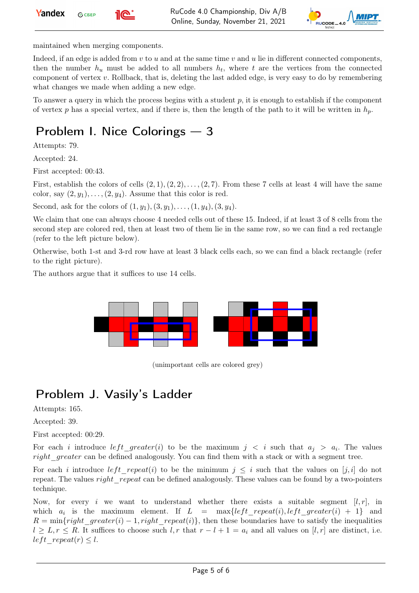



maintained when merging components.

Indeed, if an edge is added from  $v$  to  $u$  and at the same time  $v$  and  $u$  lie in different connected components, then the number  $h_u$  must be added to all numbers  $h_t$ , where t are the vertices from the connected component of vertex v. Rollback, that is, deleting the last added edge, is very easy to do by remembering what changes we made when adding a new edge.

To answer a query in which the process begins with a student  $p$ , it is enough to establish if the component of vertex p has a special vertex, and if there is, then the length of the path to it will be written in  $h_p$ .

## Problem I. Nice Colorings — 3

Attempts: 79.

Accepted: 24.

First accepted: 00:43.

First, establish the colors of cells  $(2, 1), (2, 2), \ldots, (2, 7)$ . From these 7 cells at least 4 will have the same color, say  $(2, y_1), \ldots, (2, y_4)$ . Assume that this color is red.

Second, ask for the colors of  $(1, y_1), (3, y_1), \ldots, (1, y_4), (3, y_4)$ .

We claim that one can always choose 4 needed cells out of these 15. Indeed, if at least 3 of 8 cells from the second step are colored red, then at least two of them lie in the same row, so we can find a red rectangle (refer to the left picture below).

Otherwise, both 1-st and 3-rd row have at least 3 black cells each, so we can find a black rectangle (refer to the right picture).

The authors argue that it suffices to use 14 cells.



(unimportant cells are colored grey)

## Problem J. Vasily's Ladder

Attempts: 165.

Accepted: 39.

First accepted: 00:29.

For each i introduce  $left\_greater(i)$  to be the maximum  $j \lt i$  such that  $a_j > a_i$ . The values right greater can be defined analogously. You can find them with a stack or with a segment tree.

For each i introduce left repeat(i) to be the minimum  $j \leq i$  such that the values on [j, i] do not repeat. The values *right* repeat can be defined analogously. These values can be found by a two-pointers technique.

Now, for every i we want to understand whether there exists a suitable segment  $[l, r]$ , in which  $a_i$  is the maximum element. If  $L = \max\{left_i t\_repeat(i),left\_greater(i) + 1\}$  and  $R = \min\{right\}$  greater(i) – 1, right repeat(i)}, then these boundaries have to satisfy the inequalities  $l \geq L, r \leq R$ . It suffices to choose such  $l, r$  that  $r - l + 1 = a_i$  and all values on  $[l, r]$  are distinct, i.e. left repeat(r)  $\leq l$ .